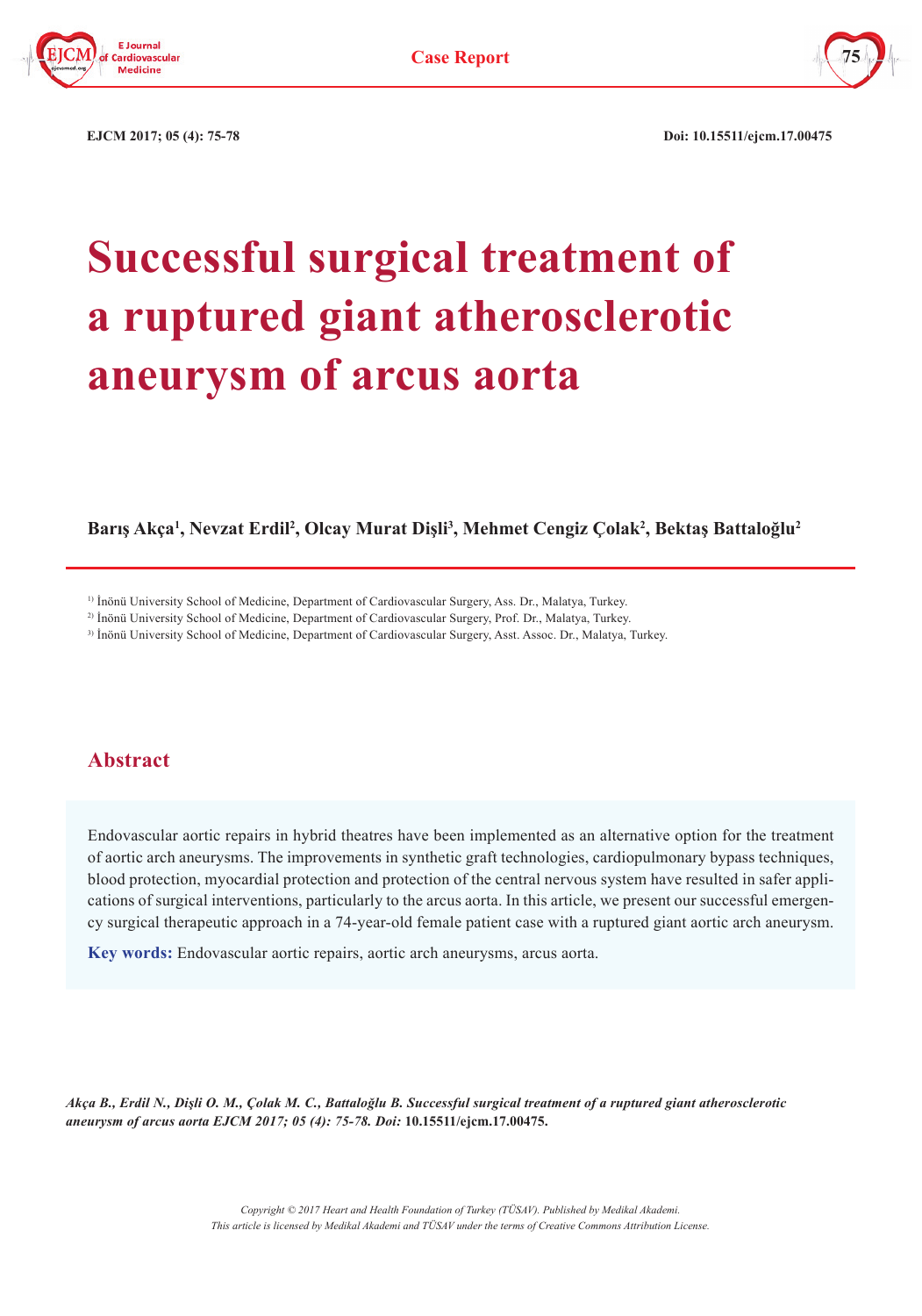



 **EJCM 2017; 05 (4): 75-78 Doi: 10.15511/ejcm.17.00475**

# **Successful surgical treatment of a ruptured giant atherosclerotic aneurysm of arcus aorta**

**Barış Akça<sup>1</sup> , Nevzat Erdil2 , Olcay Murat Dişli<sup>3</sup> , Mehmet Cengiz Çolak<sup>2</sup> , Bektaş Battaloğlu<sup>2</sup>**

<sup>1)</sup> İnönü University School of Medicine, Department of Cardiovascular Surgery, Ass. Dr., Malatya, Turkey.

2) İnönü University School of Medicine, Department of Cardiovascular Surgery, Prof. Dr., Malatya, Turkey.

3) İnönü University School of Medicine, Department of Cardiovascular Surgery, Asst. Assoc. Dr., Malatya, Turkey.

## **Abstract**

Endovascular aortic repairs in hybrid theatres have been implemented as an alternative option for the treatment of aortic arch aneurysms. The improvements in synthetic graft technologies, cardiopulmonary bypass techniques, blood protection, myocardial protection and protection of the central nervous system have resulted in safer applications of surgical interventions, particularly to the arcus aorta. In this article, we present our successful emergency surgical therapeutic approach in a 74-year-old female patient case with a ruptured giant aortic arch aneurysm.

**Key words:** Endovascular aortic repairs, aortic arch aneurysms, arcus aorta.

*Akça B., Erdil N., Dişli O. M., Çolak M. C., Battaloğlu B. Successful surgical treatment of a ruptured giant atherosclerotic aneurysm of arcus aorta EJCM 2017; 05 (4): 75-78. Doi:* **10.15511/ejcm.17.00475.**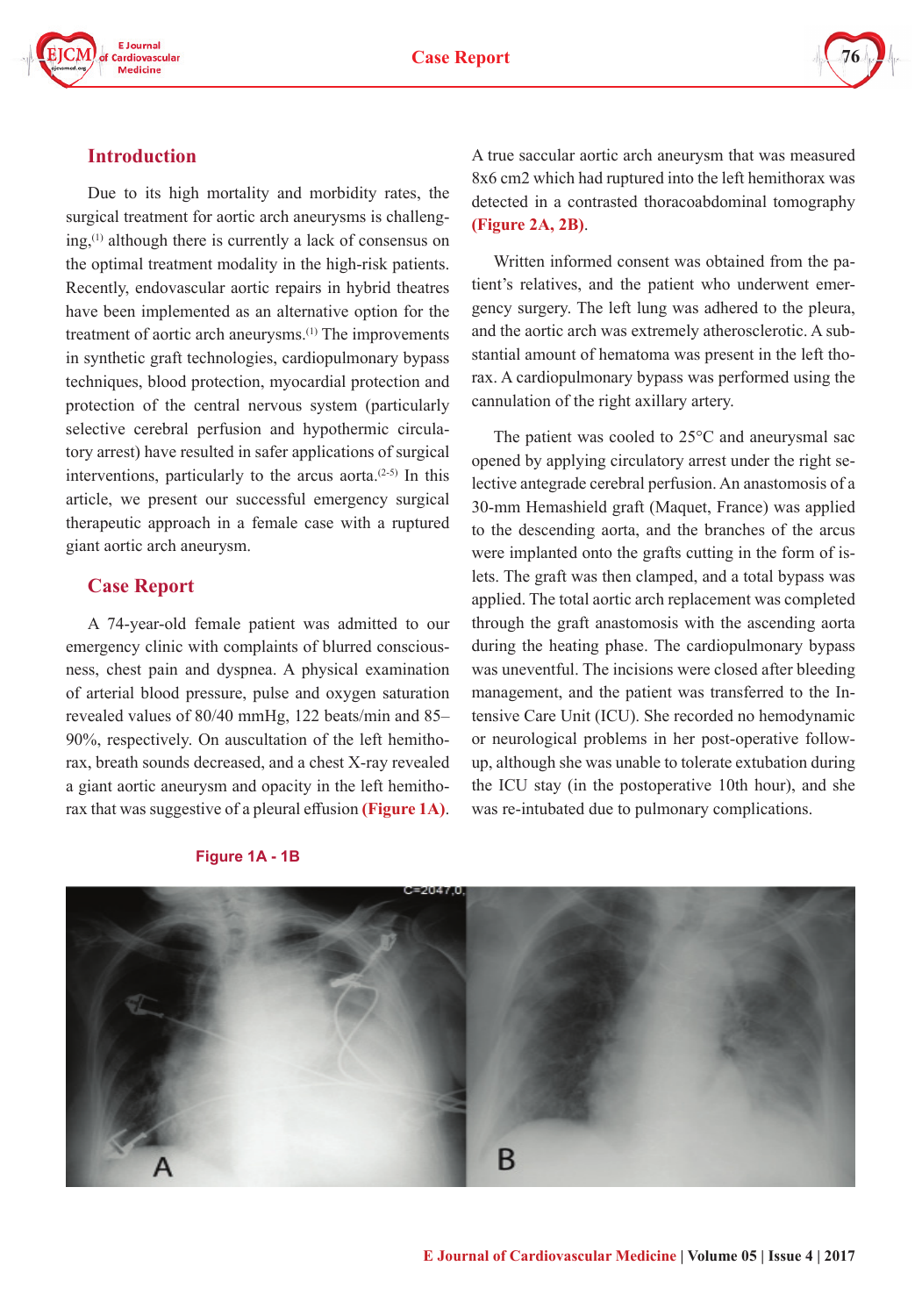





### **Introduction**

Due to its high mortality and morbidity rates, the surgical treatment for aortic arch aneurysms is challenging,<sup>(1)</sup> although there is currently a lack of consensus on the optimal treatment modality in the high-risk patients. Recently, endovascular aortic repairs in hybrid theatres have been implemented as an alternative option for the treatment of aortic arch aneurysms.<sup>(1)</sup> The improvements in synthetic graft technologies, cardiopulmonary bypass techniques, blood protection, myocardial protection and protection of the central nervous system (particularly selective cerebral perfusion and hypothermic circulatory arrest) have resulted in safer applications of surgical interventions, particularly to the arcus aorta. $(2-5)$  In this article, we present our successful emergency surgical therapeutic approach in a female case with a ruptured giant aortic arch aneurysm.

#### **Case Report**

A 74-year-old female patient was admitted to our emergency clinic with complaints of blurred consciousness, chest pain and dyspnea. A physical examination of arterial blood pressure, pulse and oxygen saturation revealed values of 80/40 mmHg, 122 beats/min and 85– 90%, respectively. On auscultation of the left hemithorax, breath sounds decreased, and a chest X-ray revealed a giant aortic aneurysm and opacity in the left hemithorax that was suggestive of a pleural effusion **(Figure 1A)**.

was re-intubated due to pulmonary complications. **Figure 1A - 1B**

B

A true saccular aortic arch aneurysm that was measured 8x6 cm2 which had ruptured into the left hemithorax was detected in a contrasted thoracoabdominal tomography **(Figure 2A, 2B)**.

Written informed consent was obtained from the patient's relatives, and the patient who underwent emergency surgery. The left lung was adhered to the pleura, and the aortic arch was extremely atherosclerotic. A substantial amount of hematoma was present in the left thorax. A cardiopulmonary bypass was performed using the cannulation of the right axillary artery.

The patient was cooled to 25°C and aneurysmal sac opened by applying circulatory arrest under the right selective antegrade cerebral perfusion. An anastomosis of a 30-mm Hemashield graft (Maquet, France) was applied to the descending aorta, and the branches of the arcus were implanted onto the grafts cutting in the form of islets. The graft was then clamped, and a total bypass was applied. The total aortic arch replacement was completed through the graft anastomosis with the ascending aorta during the heating phase. The cardiopulmonary bypass was uneventful. The incisions were closed after bleeding management, and the patient was transferred to the Intensive Care Unit (ICU). She recorded no hemodynamic or neurological problems in her post-operative followup, although she was unable to tolerate extubation during the ICU stay (in the postoperative 10th hour), and she

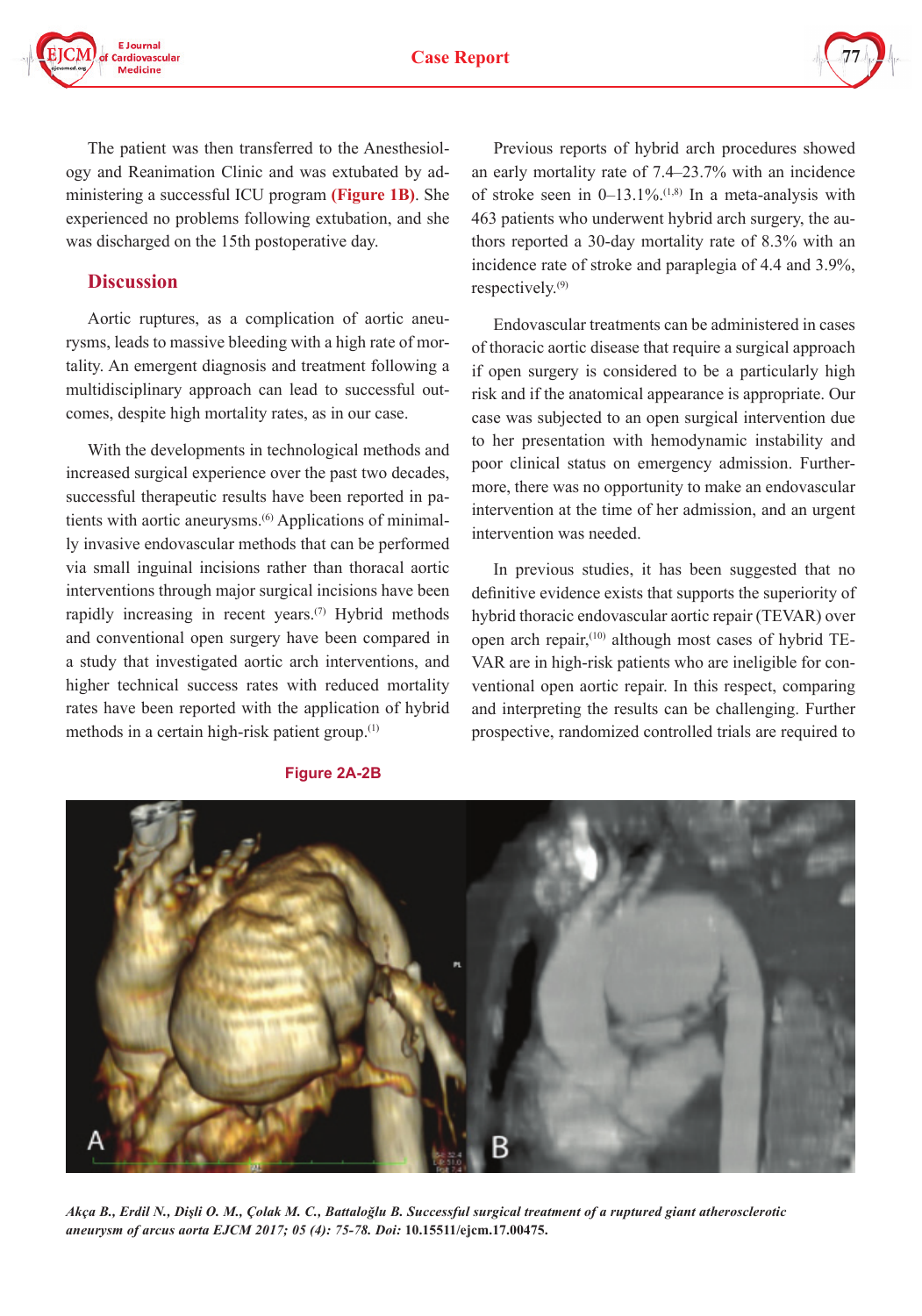

The patient was then transferred to the Anesthesiology and Reanimation Clinic and was extubated by administering a successful ICU program **(Figure 1B)**. She experienced no problems following extubation, and she was discharged on the 15th postoperative day.

#### **Discussion**

Aortic ruptures, as a complication of aortic aneurysms, leads to massive bleeding with a high rate of mortality. An emergent diagnosis and treatment following a multidisciplinary approach can lead to successful outcomes, despite high mortality rates, as in our case.

With the developments in technological methods and increased surgical experience over the past two decades, successful therapeutic results have been reported in patients with aortic aneurysms.<sup>(6)</sup> Applications of minimally invasive endovascular methods that can be performed via small inguinal incisions rather than thoracal aortic interventions through major surgical incisions have been rapidly increasing in recent years.<sup> $(7)$ </sup> Hybrid methods and conventional open surgery have been compared in a study that investigated aortic arch interventions, and higher technical success rates with reduced mortality rates have been reported with the application of hybrid methods in a certain high-risk patient group.(1)

Previous reports of hybrid arch procedures showed an early mortality rate of 7.4–23.7% with an incidence of stroke seen in  $0-13.1\%$ .<sup>(1,8)</sup> In a meta-analysis with 463 patients who underwent hybrid arch surgery, the authors reported a 30-day mortality rate of 8.3% with an incidence rate of stroke and paraplegia of 4.4 and 3.9%, respectively.(9)

Endovascular treatments can be administered in cases of thoracic aortic disease that require a surgical approach if open surgery is considered to be a particularly high risk and if the anatomical appearance is appropriate. Our case was subjected to an open surgical intervention due to her presentation with hemodynamic instability and poor clinical status on emergency admission. Furthermore, there was no opportunity to make an endovascular intervention at the time of her admission, and an urgent intervention was needed.

In previous studies, it has been suggested that no definitive evidence exists that supports the superiority of hybrid thoracic endovascular aortic repair (TEVAR) over open arch repair,<sup>(10)</sup> although most cases of hybrid TE-VAR are in high-risk patients who are ineligible for conventional open aortic repair. In this respect, comparing and interpreting the results can be challenging. Further prospective, randomized controlled trials are required to



*Akça B., Erdil N., Dişli O. M., Çolak M. C., Battaloğlu B. Successful surgical treatment of a ruptured giant atherosclerotic aneurysm of arcus aorta EJCM 2017; 05 (4): 75-78. Doi:* **10.15511/ejcm.17.00475.**

#### **Figure 2A-2B**